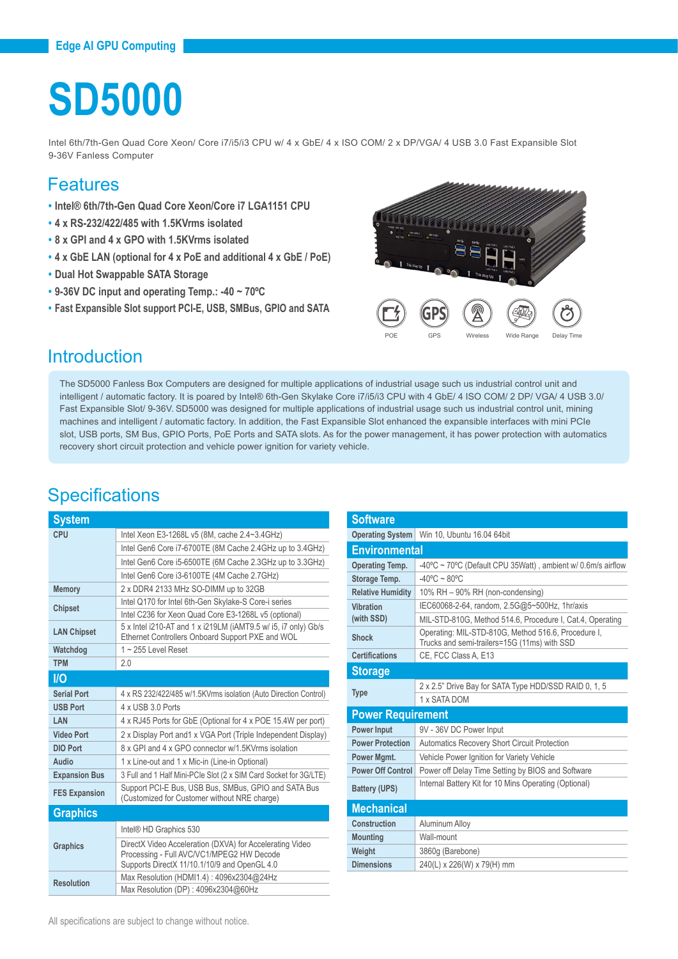# **SD5000**

Intel 6th/7th-Gen Quad Core Xeon/ Core i7/i5/i3 CPU w/ 4 x GbE/ 4 x ISO COM/ 2 x DP/VGA/ 4 USB 3.0 Fast Expansible Slot 9-36V Fanless Computer

#### Features

- **• Intel® 6th/7th-Gen Quad Core Xeon/Core i7 LGA1151 CPU**
- **• 4 x RS-232/422/485 with 1.5KVrms isolated**
- **• 8 x GPI and 4 x GPO with 1.5KVrms isolated**
- **• 4 x GbE LAN (optional for 4 x PoE and additional 4 x GbE / PoE)**
- **• Dual Hot Swappable SATA Storage**
- **• 9-36V DC input and operating Temp.: -40 ~ 70ºC**
- **• Fast Expansible Slot support PCI-E, USB, SMBus, GPIO and SATA**



### **Introduction**

The SD5000 Fanless Box Computers are designed for multiple applications of industrial usage such us industrial control unit and intelligent / automatic factory. It is poared by Intel® 6th-Gen Skylake Core i7/i5/i3 CPU with 4 GbE/ 4 ISO COM/ 2 DP/ VGA/ 4 USB 3.0/ Fast Expansible Slot/ 9-36V. SD5000 was designed for multiple applications of industrial usage such us industrial control unit, mining machines and intelligent / automatic factory. In addition, the Fast Expansible Slot enhanced the expansible interfaces with mini PCIe slot, USB ports, SM Bus, GPIO Ports, PoE Ports and SATA slots. As for the power management, it has power protection with automatics recovery short circuit protection and vehicle power ignition for variety vehicle.

## **Specifications**

| <b>System</b>        |                                                                                                                                                       |  |
|----------------------|-------------------------------------------------------------------------------------------------------------------------------------------------------|--|
| CPU                  | Intel Xeon E3-1268L v5 (8M, cache 2.4~3.4GHz)                                                                                                         |  |
|                      | Intel Gen6 Core i7-6700TE (8M Cache 2.4GHz up to 3.4GHz)                                                                                              |  |
|                      | Intel Gen6 Core i5-6500TE (6M Cache 2.3GHz up to 3.3GHz)                                                                                              |  |
|                      | Intel Gen6 Core i3-6100TE (4M Cache 2.7GHz)                                                                                                           |  |
| <b>Memory</b>        | 2 x DDR4 2133 MHz SO-DIMM up to 32GB                                                                                                                  |  |
| <b>Chipset</b>       | Intel Q170 for Intel 6th-Gen Skylake-S Core-i series                                                                                                  |  |
|                      | Intel C236 for Xeon Quad Core E3-1268L v5 (optional)                                                                                                  |  |
| <b>LAN Chipset</b>   | 5 x Intel i210-AT and 1 x i219LM (iAMT9.5 w/ i5, i7 only) Gb/s<br>Ethernet Controllers Onboard Support PXE and WOL                                    |  |
| Watchdog             | $1 - 255$ Level Reset                                                                                                                                 |  |
| <b>TPM</b>           | 2.0                                                                                                                                                   |  |
| I/O                  |                                                                                                                                                       |  |
| <b>Serial Port</b>   | 4 x RS 232/422/485 w/1.5KVrms isolation (Auto Direction Control)                                                                                      |  |
| <b>USB Port</b>      | 4 x USB 3.0 Ports                                                                                                                                     |  |
| LAN                  | 4 x RJ45 Ports for GbE (Optional for 4 x POE 15.4W per port)                                                                                          |  |
| <b>Video Port</b>    | 2 x Display Port and 1 x VGA Port (Triple Independent Display)                                                                                        |  |
| <b>DIO Port</b>      | 8 x GPI and 4 x GPO connector w/1.5KVrms isolation                                                                                                    |  |
| Audio                | 1 x Line-out and 1 x Mic-in (Line-in Optional)                                                                                                        |  |
| <b>Expansion Bus</b> | 3 Full and 1 Half Mini-PCIe Slot (2 x SIM Card Socket for 3G/LTE)                                                                                     |  |
| <b>FES Expansion</b> | Support PCI-E Bus, USB Bus, SMBus, GPIO and SATA Bus<br>(Customized for Customer without NRE charge)                                                  |  |
| <b>Graphics</b>      |                                                                                                                                                       |  |
|                      | Intel <sup>®</sup> HD Graphics 530                                                                                                                    |  |
| <b>Graphics</b>      | DirectX Video Acceleration (DXVA) for Accelerating Video<br>Processing - Full AVC/VC1/MPEG2 HW Decode<br>Supports DirectX 11/10.1/10/9 and OpenGL 4.0 |  |
| <b>Resolution</b>    | Max Resolution (HDMI1.4): 4096x2304@24Hz                                                                                                              |  |
|                      | Max Resolution (DP): 4096x2304@60Hz                                                                                                                   |  |

| <b>Operating System</b>  | Win 10, Ubuntu 16.04 64bit                                                                          |  |
|--------------------------|-----------------------------------------------------------------------------------------------------|--|
| <b>Environmental</b>     |                                                                                                     |  |
| <b>Operating Temp.</b>   | -40°C ~ 70°C (Default CPU 35Watt), ambient w/ 0.6m/s airflow                                        |  |
| Storage Temp.            | $-40^{\circ}$ C ~ 80 $^{\circ}$ C                                                                   |  |
| <b>Relative Humidity</b> | 10% RH - 90% RH (non-condensing)                                                                    |  |
| Vibration                | IEC60068-2-64, random, 2.5G@5~500Hz, 1hr/axis                                                       |  |
| (with SSD)               | MIL-STD-810G, Method 514.6, Procedure I, Cat.4, Operating                                           |  |
| Shock                    | Operating: MIL-STD-810G, Method 516.6, Procedure I,<br>Trucks and semi-trailers=15G (11ms) with SSD |  |
| <b>Certifications</b>    | CE, FCC Class A, E13                                                                                |  |
| <b>Storage</b>           |                                                                                                     |  |
|                          | 2 x 2.5" Drive Bay for SATA Type HDD/SSD RAID 0, 1, 5                                               |  |
| <b>Type</b>              | 1 x SATA DOM                                                                                        |  |
| <b>Power Requirement</b> |                                                                                                     |  |
| <b>Power Input</b>       | 9V - 36V DC Power Input                                                                             |  |
| <b>Power Protection</b>  | <b>Automatics Recovery Short Circuit Protection</b>                                                 |  |
| Power Mgmt.              | Vehicle Power Ignition for Variety Vehicle                                                          |  |
| <b>Power Off Control</b> | Power off Delay Time Setting by BIOS and Software                                                   |  |
| <b>Battery (UPS)</b>     | Internal Battery Kit for 10 Mins Operating (Optional)                                               |  |
| <b>Mechanical</b>        |                                                                                                     |  |
| Construction             | Aluminum Alloy                                                                                      |  |
| <b>Mounting</b>          | Wall-mount                                                                                          |  |
| Weight                   | 3860g (Barebone)                                                                                    |  |
| <b>Dimensions</b>        | 240(L) x 226(W) x 79(H) mm                                                                          |  |